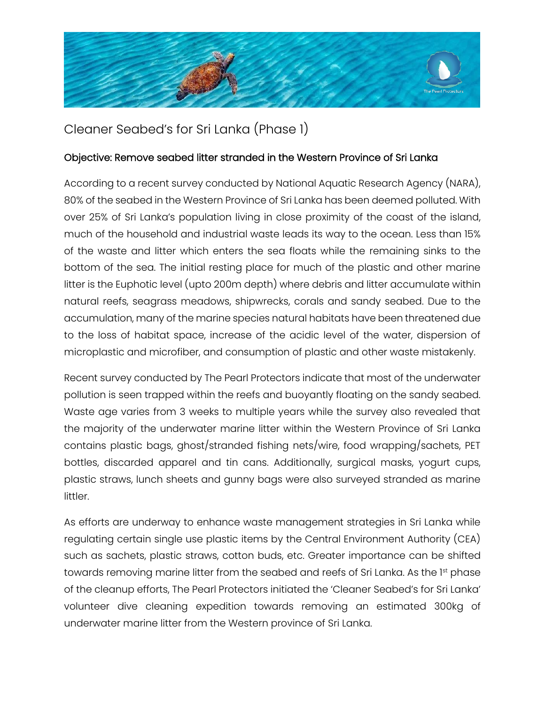

Cleaner Seabed's for Sri Lanka (Phase 1)

## Objective: Remove seabed litter stranded in the Western Province of Sri Lanka

According to a recent survey conducted by National Aquatic Research Agency (NARA), 80% of the seabed in the Western Province of Sri Lanka has been deemed polluted. With over 25% of Sri Lanka's population living in close proximity of the coast of the island, much of the household and industrial waste leads its way to the ocean. Less than 15% of the waste and litter which enters the sea floats while the remaining sinks to the bottom of the sea. The initial resting place for much of the plastic and other marine litter is the Euphotic level (upto 200m depth) where debris and litter accumulate within natural reefs, seagrass meadows, shipwrecks, corals and sandy seabed. Due to the accumulation, many of the marine species natural habitats have been threatened due to the loss of habitat space, increase of the acidic level of the water, dispersion of microplastic and microfiber, and consumption of plastic and other waste mistakenly.

Recent survey conducted by The Pearl Protectors indicate that most of the underwater pollution is seen trapped within the reefs and buoyantly floating on the sandy seabed. Waste age varies from 3 weeks to multiple years while the survey also revealed that the majority of the underwater marine litter within the Western Province of Sri Lanka contains plastic bags, ghost/stranded fishing nets/wire, food wrapping/sachets, PET bottles, discarded apparel and tin cans. Additionally, surgical masks, yogurt cups, plastic straws, lunch sheets and gunny bags were also surveyed stranded as marine littler.

As efforts are underway to enhance waste management strategies in Sri Lanka while regulating certain single use plastic items by the Central Environment Authority (CEA) such as sachets, plastic straws, cotton buds, etc. Greater importance can be shifted towards removing marine litter from the seabed and reefs of Sri Lanka. As the 1st phase of the cleanup efforts, The Pearl Protectors initiated the 'Cleaner Seabed's for Sri Lanka' volunteer dive cleaning expedition towards removing an estimated 300kg of underwater marine litter from the Western province of Sri Lanka.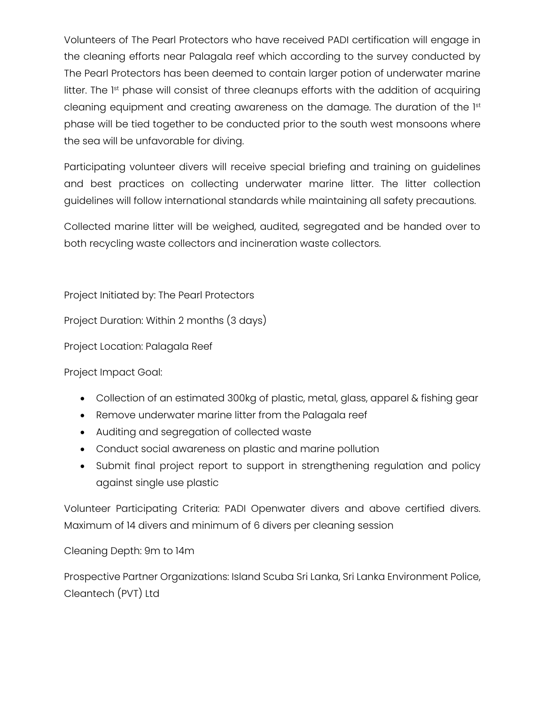Volunteers of The Pearl Protectors who have received PADI certification will engage in the cleaning efforts near Palagala reef which according to the survey conducted by The Pearl Protectors has been deemed to contain larger potion of underwater marine litter. The 1<sup>st</sup> phase will consist of three cleanups efforts with the addition of acquiring cleaning equipment and creating awareness on the damage. The duration of the 1st phase will be tied together to be conducted prior to the south west monsoons where the sea will be unfavorable for diving.

Participating volunteer divers will receive special briefing and training on guidelines and best practices on collecting underwater marine litter. The litter collection guidelines will follow international standards while maintaining all safety precautions.

Collected marine litter will be weighed, audited, segregated and be handed over to both recycling waste collectors and incineration waste collectors.

Project Initiated by: The Pearl Protectors

Project Duration: Within 2 months (3 days)

Project Location: Palagala Reef

Project Impact Goal:

- Collection of an estimated 300kg of plastic, metal, glass, apparel & fishing gear
- Remove underwater marine litter from the Palagala reef
- Auditing and segregation of collected waste
- Conduct social awareness on plastic and marine pollution
- Submit final project report to support in strengthening regulation and policy against single use plastic

Volunteer Participating Criteria: PADI Openwater divers and above certified divers. Maximum of 14 divers and minimum of 6 divers per cleaning session

Cleaning Depth: 9m to 14m

Prospective Partner Organizations: Island Scuba Sri Lanka, Sri Lanka Environment Police, Cleantech (PVT) Ltd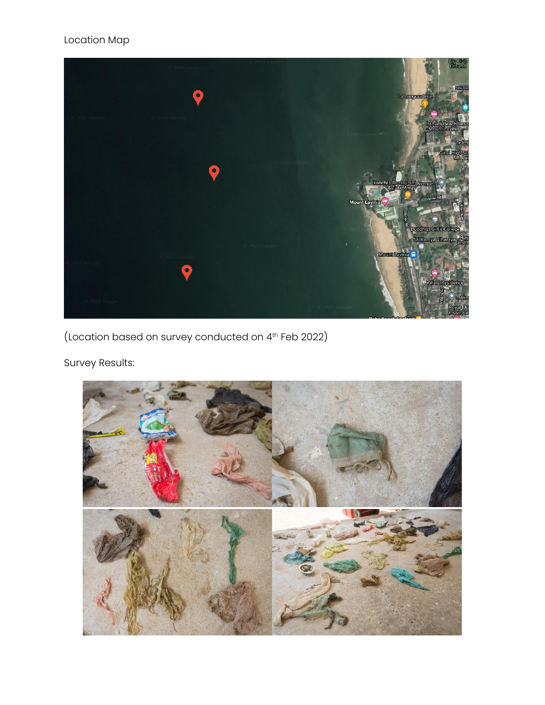

(Location based on survey conducted on 4th Feb 2022)

Survey Results:

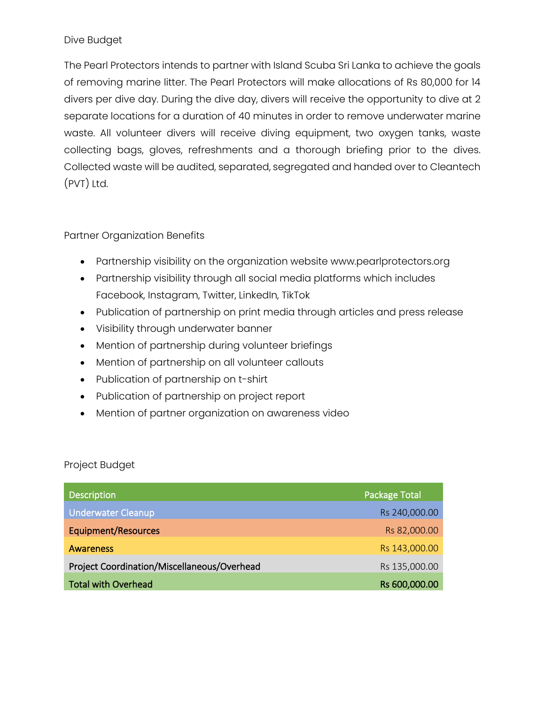### Dive Budget

The Pearl Protectors intends to partner with Island Scuba Sri Lanka to achieve the goals of removing marine litter. The Pearl Protectors will make allocations of Rs 80,000 for 14 divers per dive day. During the dive day, divers will receive the opportunity to dive at 2 separate locations for a duration of 40 minutes in order to remove underwater marine waste. All volunteer divers will receive diving equipment, two oxygen tanks, waste collecting bags, gloves, refreshments and a thorough briefing prior to the dives. Collected waste will be audited, separated, segregated and handed over to Cleantech (PVT) Ltd.

### Partner Organization Benefits

- Partnership visibility on the organization website www.pearlprotectors.org
- Partnership visibility through all social media platforms which includes Facebook, Instagram, Twitter, LinkedIn, TikTok
- Publication of partnership on print media through articles and press release
- Visibility through underwater banner
- Mention of partnership during volunteer briefings
- Mention of partnership on all volunteer callouts
- Publication of partnership on t-shirt
- Publication of partnership on project report
- Mention of partner organization on awareness video

#### Project Budget

| <b>Description</b>                          | <b>Package Total</b> |
|---------------------------------------------|----------------------|
| <b>Underwater Cleanup</b>                   | Rs 240,000.00        |
| <b>Equipment/Resources</b>                  | Rs 82,000.00         |
| <b>Awareness</b>                            | Rs 143,000.00        |
| Project Coordination/Miscellaneous/Overhead | Rs 135,000.00        |
| <b>Total with Overhead</b>                  | Rs 600,000.00        |